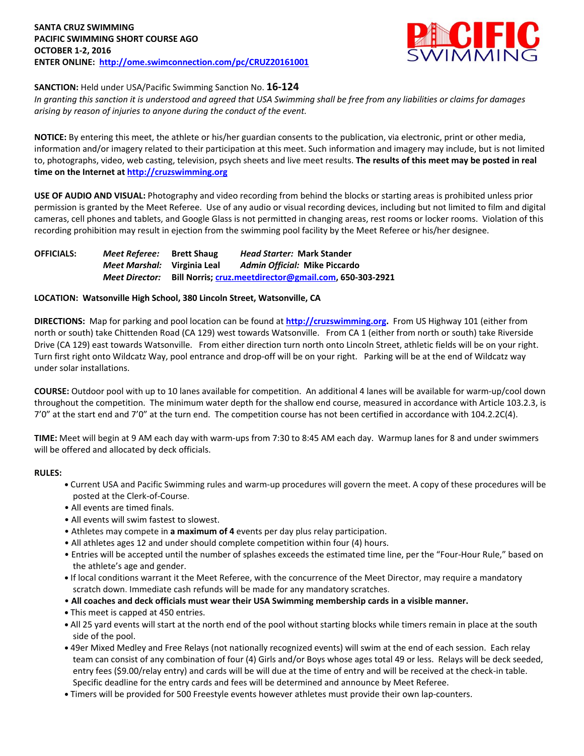

# **SANCTION:** Held under USA/Pacific Swimming Sanction No. **16-124**

*In granting this sanction it is understood and agreed that USA Swimming shall be free from any liabilities or claims for damages arising by reason of injuries to anyone during the conduct of the event.*

**NOTICE:** By entering this meet, the athlete or his/her guardian consents to the publication, via electronic, print or other media, information and/or imagery related to their participation at this meet. Such information and imagery may include, but is not limited to, photographs, video, web casting, television, psych sheets and live meet results. **The results of this meet may be posted in real time on the Internet a[t http://cruzswimming.org](http://cruzswimming.org/)**

**USE OF AUDIO AND VISUAL:** Photography and video recording from behind the blocks or starting areas is prohibited unless prior permission is granted by the Meet Referee. Use of any audio or visual recording devices, including but not limited to film and digital cameras, cell phones and tablets, and Google Glass is not permitted in changing areas, rest rooms or locker rooms. Violation of this recording prohibition may result in ejection from the swimming pool facility by the Meet Referee or his/her designee.

**OFFICIALS:** *Meet Referee:* **Brett Shaug** *Head Starter:* **Mark Stander** *Meet Marshal:* **Virginia Leal** *Admin Official:* **Mike Piccardo** *Meet Director:* **Bill Norris; [cruz.meetdirector@gmail.com,](mailto:cruz.meetdirector@gmail.com) 650-303-2921**

#### **LOCATION: Watsonville High School, 380 Lincoln Street, Watsonville, CA**

**DIRECTIONS:** Map for parking and pool location can be found at **[http://cruzswimming.org.](http://cruzswimming.org/)** From US Highway 101 (either from north or south) take Chittenden Road (CA 129) west towards Watsonville. From CA 1 (either from north or south) take Riverside Drive (CA 129) east towards Watsonville. From either direction turn north onto Lincoln Street, athletic fields will be on your right. Turn first right onto Wildcatz Way, pool entrance and drop-off will be on your right. Parking will be at the end of Wildcatz way under solar installations.

**COURSE:** Outdoor pool with up to 10 lanes available for competition. An additional 4 lanes will be available for warm-up/cool down throughout the competition. The minimum water depth for the shallow end course, measured in accordance with Article 103.2.3, is 7'0" at the start end and 7'0" at the turn end. The competition course has not been certified in accordance with 104.2.2C(4).

**TIME:** Meet will begin at 9 AM each day with warm-ups from 7:30 to 8:45 AM each day. Warmup lanes for 8 and under swimmers will be offered and allocated by deck officials.

#### **RULES:**

- Current USA and Pacific Swimming rules and warm-up procedures will govern the meet. A copy of these procedures will be posted at the Clerk-of-Course.
- All events are timed finals.
- All events will swim fastest to slowest.
- Athletes may compete in **a maximum of 4** events per day plus relay participation.
- All athletes ages 12 and under should complete competition within four (4) hours.
- Entries will be accepted until the number of splashes exceeds the estimated time line, per the "Four-Hour Rule," based on the athlete's age and gender.
- If local conditions warrant it the Meet Referee, with the concurrence of the Meet Director, may require a mandatory scratch down. Immediate cash refunds will be made for any mandatory scratches.
- **All coaches and deck officials must wear their USA Swimming membership cards in a visible manner.**
- This meet is capped at 450 entries.
- All 25 yard events will start at the north end of the pool without starting blocks while timers remain in place at the south side of the pool.
- 49er Mixed Medley and Free Relays (not nationally recognized events) will swim at the end of each session. Each relay team can consist of any combination of four (4) Girls and/or Boys whose ages total 49 or less. Relays will be deck seeded, entry fees (\$9.00/relay entry) and cards will be will due at the time of entry and will be received at the check-in table. Specific deadline for the entry cards and fees will be determined and announce by Meet Referee.
- Timers will be provided for 500 Freestyle events however athletes must provide their own lap-counters.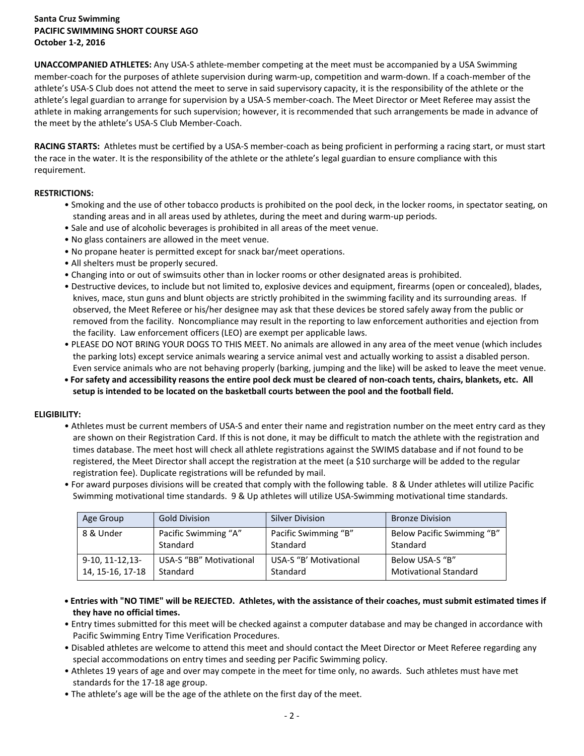# **Santa Cruz Swimming PACIFIC SWIMMING SHORT COURSE AGO October 1-2, 2016**

**UNACCOMPANIED ATHLETES:** Any USA-S athlete-member competing at the meet must be accompanied by a USA Swimming member-coach for the purposes of athlete supervision during warm-up, competition and warm-down. If a coach-member of the athlete's USA-S Club does not attend the meet to serve in said supervisory capacity, it is the responsibility of the athlete or the athlete's legal guardian to arrange for supervision by a USA-S member-coach. The Meet Director or Meet Referee may assist the athlete in making arrangements for such supervision; however, it is recommended that such arrangements be made in advance of the meet by the athlete's USA-S Club Member-Coach.

**RACING STARTS:** Athletes must be certified by a USA-S member-coach as being proficient in performing a racing start, or must start the race in the water. It is the responsibility of the athlete or the athlete's legal guardian to ensure compliance with this requirement.

# **RESTRICTIONS:**

- Smoking and the use of other tobacco products is prohibited on the pool deck, in the locker rooms, in spectator seating, on standing areas and in all areas used by athletes, during the meet and during warm-up periods.
- Sale and use of alcoholic beverages is prohibited in all areas of the meet venue.
- No glass containers are allowed in the meet venue.
- No propane heater is permitted except for snack bar/meet operations.
- All shelters must be properly secured.
- Changing into or out of swimsuits other than in locker rooms or other designated areas is prohibited.
- Destructive devices, to include but not limited to, explosive devices and equipment, firearms (open or concealed), blades, knives, mace, stun guns and blunt objects are strictly prohibited in the swimming facility and its surrounding areas. If observed, the Meet Referee or his/her designee may ask that these devices be stored safely away from the public or removed from the facility. Noncompliance may result in the reporting to law enforcement authorities and ejection from the facility. Law enforcement officers (LEO) are exempt per applicable laws.
- PLEASE DO NOT BRING YOUR DOGS TO THIS MEET. No animals are allowed in any area of the meet venue (which includes the parking lots) except service animals wearing a service animal vest and actually working to assist a disabled person. Even service animals who are not behaving properly (barking, jumping and the like) will be asked to leave the meet venue.
- **For safety and accessibility reasons the entire pool deck must be cleared of non-coach tents, chairs, blankets, etc. All setup is intended to be located on the basketball courts between the pool and the football field.**

# **ELIGIBILITY:**

- Athletes must be current members of USA-S and enter their name and registration number on the meet entry card as they are shown on their Registration Card. If this is not done, it may be difficult to match the athlete with the registration and times database. The meet host will check all athlete registrations against the SWIMS database and if not found to be registered, the Meet Director shall accept the registration at the meet (a \$10 surcharge will be added to the regular registration fee). Duplicate registrations will be refunded by mail.
- For award purposes divisions will be created that comply with the following table. 8 & Under athletes will utilize Pacific Swimming motivational time standards. 9 & Up athletes will utilize USA-Swimming motivational time standards.

| Age Group          | <b>Gold Division</b>    | <b>Silver Division</b> | <b>Bronze Division</b>       |
|--------------------|-------------------------|------------------------|------------------------------|
| 8 & Under          | Pacific Swimming "A"    | Pacific Swimming "B"   | Below Pacific Swimming "B"   |
|                    | Standard                | Standard               | Standard                     |
| $9-10, 11-12, 13-$ | USA-S "BB" Motivational | USA-S "B' Motivational | Below USA-S "B"              |
| 14, 15-16, 17-18   | Standard                | Standard               | <b>Motivational Standard</b> |

- **Entries with "NO TIME" will be REJECTED. Athletes, with the assistance of their coaches, must submit estimated times if they have no official times.**
- Entry times submitted for this meet will be checked against a computer database and may be changed in accordance with Pacific Swimming Entry Time Verification Procedures.
- Disabled athletes are welcome to attend this meet and should contact the Meet Director or Meet Referee regarding any special accommodations on entry times and seeding per Pacific Swimming policy.
- Athletes 19 years of age and over may compete in the meet for time only, no awards. Such athletes must have met standards for the 17-18 age group.
- The athlete's age will be the age of the athlete on the first day of the meet.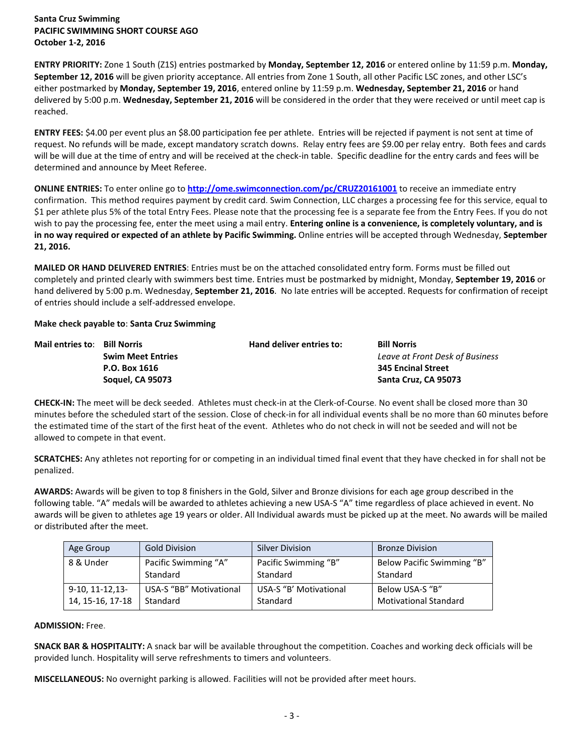**Santa Cruz Swimming PACIFIC SWIMMING SHORT COURSE AGO October 1-2, 2016**

**ENTRY PRIORITY:** Zone 1 South (Z1S) entries postmarked by **Monday, September 12, 2016** or entered online by 11:59 p.m. **Monday, September 12, 2016** will be given priority acceptance. All entries from Zone 1 South, all other Pacific LSC zones, and other LSC's either postmarked by **Monday, September 19, 2016**, entered online by 11:59 p.m. **Wednesday, September 21, 2016** or hand delivered by 5:00 p.m. **Wednesday, September 21, 2016** will be considered in the order that they were received or until meet cap is reached.

**ENTRY FEES:** \$4.00 per event plus an \$8.00 participation fee per athlete. Entries will be rejected if payment is not sent at time of request. No refunds will be made, except mandatory scratch downs. Relay entry fees are \$9.00 per relay entry. Both fees and cards will be will due at the time of entry and will be received at the check-in table. Specific deadline for the entry cards and fees will be determined and announce by Meet Referee.

**ONLINE ENTRIES:** To enter online go to **<http://ome.swimconnection.com/pc/CRUZ20161001>** to receive an immediate entry confirmation. This method requires payment by credit card. Swim Connection, LLC charges a processing fee for this service, equal to \$1 per athlete plus 5% of the total Entry Fees. Please note that the processing fee is a separate fee from the Entry Fees. If you do not wish to pay the processing fee, enter the meet using a mail entry. **Entering online is a convenience, is completely voluntary, and is in no way required or expected of an athlete by Pacific Swimming.** Online entries will be accepted through Wednesday, **September 21, 2016.**

**MAILED OR HAND DELIVERED ENTRIES**: Entries must be on the attached consolidated entry form. Forms must be filled out completely and printed clearly with swimmers best time. Entries must be postmarked by midnight, Monday, **September 19, 2016** or hand delivered by 5:00 p.m. Wednesday, **September 21, 2016**. No late entries will be accepted. Requests for confirmation of receipt of entries should include a self-addressed envelope.

#### **Make check payable to**: **Santa Cruz Swimming**

| Mail entries to: Bill Norris |                          | Hand deliver entries to: | <b>Bill Norris</b>              |
|------------------------------|--------------------------|--------------------------|---------------------------------|
|                              | <b>Swim Meet Entries</b> |                          | Leave at Front Desk of Business |
|                              | P.O. Box 1616            |                          | <b>345 Encinal Street</b>       |
|                              | Soquel, CA 95073         |                          | Santa Cruz, CA 95073            |

**CHECK-IN:** The meet will be deck seeded. Athletes must check-in at the Clerk-of-Course. No event shall be closed more than 30 minutes before the scheduled start of the session. Close of check-in for all individual events shall be no more than 60 minutes before the estimated time of the start of the first heat of the event. Athletes who do not check in will not be seeded and will not be allowed to compete in that event.

**SCRATCHES:** Any athletes not reporting for or competing in an individual timed final event that they have checked in for shall not be penalized.

**AWARDS:** Awards will be given to top 8 finishers in the Gold, Silver and Bronze divisions for each age group described in the following table. "A" medals will be awarded to athletes achieving a new USA-S "A" time regardless of place achieved in event. No awards will be given to athletes age 19 years or older. All Individual awards must be picked up at the meet. No awards will be mailed or distributed after the meet.

| Age Group          | <b>Gold Division</b>           | <b>Silver Division</b> | <b>Bronze Division</b>       |
|--------------------|--------------------------------|------------------------|------------------------------|
| 8 & Under          | Pacific Swimming "A"           | Pacific Swimming "B"   | Below Pacific Swimming "B"   |
|                    | Standard                       | Standard               | Standard                     |
| $9-10, 11-12, 13-$ | <b>USA-S "BB" Motivational</b> | USA-S "B' Motivational | Below USA-S "B"              |
| 14, 15-16, 17-18   | Standard                       | Standard               | <b>Motivational Standard</b> |

## **ADMISSION:** Free.

**SNACK BAR & HOSPITALITY:** A snack bar will be available throughout the competition. Coaches and working deck officials will be provided lunch. Hospitality will serve refreshments to timers and volunteers.

**MISCELLANEOUS:** No overnight parking is allowed. Facilities will not be provided after meet hours.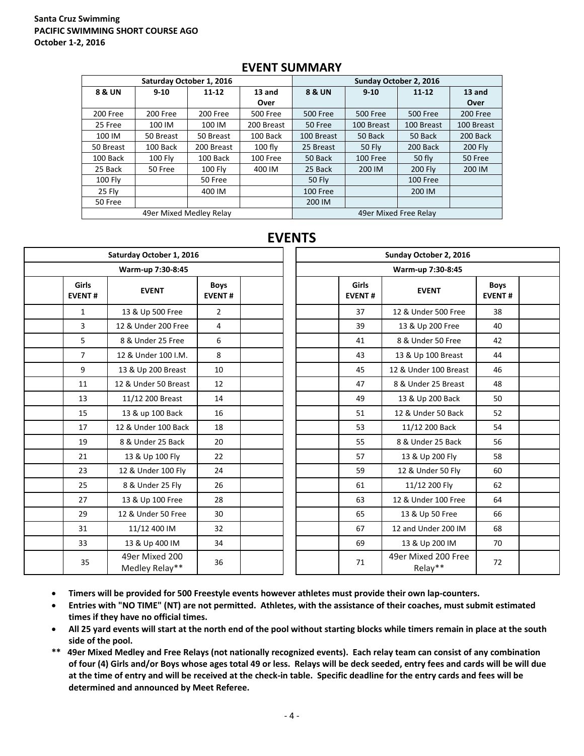# **Santa Cruz Swimming PACIFIC SWIMMING SHORT COURSE AGO October 1-2, 2016**

|                | Saturday October 1, 2016 |            |                 | Sunday October 2, 2016 |                 |                       |                |  |  |
|----------------|--------------------------|------------|-----------------|------------------------|-----------------|-----------------------|----------------|--|--|
| 8 & UN         | $9 - 10$                 | $11 - 12$  | 13 and          | <b>8 &amp; UN</b>      | $9 - 10$        | $11 - 12$             | 13 and         |  |  |
|                |                          |            | Over            |                        |                 |                       | Over           |  |  |
| 200 Free       | 200 Free                 | 200 Free   | <b>500 Free</b> | <b>500 Free</b>        | <b>500 Free</b> | 500 Free              | 200 Free       |  |  |
| 25 Free        | 100 IM                   | 100 IM     | 200 Breast      | 50 Free                | 100 Breast      | 100 Breast            | 100 Breast     |  |  |
| 100 IM         | 50 Breast                | 50 Breast  | 100 Back        | 100 Breast             | 50 Back         | 50 Back               | 200 Back       |  |  |
| 50 Breast      | 100 Back                 | 200 Breast | $100$ fly       | 25 Breast              | <b>50 Fly</b>   | 200 Back              | <b>200 Fly</b> |  |  |
| 100 Back       | $100$ Fly                | 100 Back   | 100 Free        | 50 Back                | 100 Free        | 50 fly                | 50 Free        |  |  |
| 25 Back        | 50 Free                  | 100 Fly    | 400 IM          | 25 Back<br>200 IM      |                 | <b>200 Flv</b>        | 200 IM         |  |  |
| <b>100 Fly</b> |                          | 50 Free    |                 | <b>50 Fly</b>          |                 | 100 Free              |                |  |  |
| 25 Fly         |                          | 400 IM     |                 | <b>100 Free</b>        |                 | 200 IM                |                |  |  |
| 50 Free        |                          |            | 200 IM          |                        |                 |                       |                |  |  |
|                | 49er Mixed Medley Relay  |            |                 |                        |                 | 49er Mixed Free Relay |                |  |  |

# **EVENT SUMMARY**

# **EVENTS**

| Saturday October 1, 2016 |                               |                                  |                              |  | Sunday October 2, 2016 |                               |                                |    |  |  |  |
|--------------------------|-------------------------------|----------------------------------|------------------------------|--|------------------------|-------------------------------|--------------------------------|----|--|--|--|
|                          |                               | Warm-up 7:30-8:45                |                              |  | Warm-up 7:30-8:45      |                               |                                |    |  |  |  |
|                          | <b>Girls</b><br><b>EVENT#</b> | <b>EVENT</b>                     | <b>Boys</b><br><b>EVENT#</b> |  |                        | <b>Girls</b><br><b>EVENT#</b> | <b>Boys</b><br><b>EVENT#</b>   |    |  |  |  |
|                          | $\mathbf{1}$                  | 13 & Up 500 Free                 | $\overline{2}$               |  |                        | 37                            | 12 & Under 500 Free            | 38 |  |  |  |
|                          | 3                             | 12 & Under 200 Free              | 4                            |  |                        | 39                            | 13 & Up 200 Free               | 40 |  |  |  |
|                          | 5                             | 8 & Under 25 Free                | 6                            |  |                        | 41                            | 8 & Under 50 Free              | 42 |  |  |  |
|                          | $\overline{7}$                | 12 & Under 100 I.M.              | 8                            |  |                        | 43                            | 13 & Up 100 Breast             | 44 |  |  |  |
|                          | 9                             | 13 & Up 200 Breast               | 10                           |  |                        | 45                            | 12 & Under 100 Breast          | 46 |  |  |  |
|                          | 11                            | 12 & Under 50 Breast             | 12                           |  |                        | 47                            | 8 & Under 25 Breast            | 48 |  |  |  |
|                          | 13                            | 11/12 200 Breast                 | 14                           |  |                        | 49                            | 13 & Up 200 Back               | 50 |  |  |  |
|                          | 15                            | 13 & up 100 Back                 | 16                           |  |                        | 51                            | 12 & Under 50 Back             | 52 |  |  |  |
|                          | 17                            | 12 & Under 100 Back              | 18                           |  |                        | 53                            | 11/12 200 Back                 | 54 |  |  |  |
|                          | 19                            | 8 & Under 25 Back                | 20                           |  | 55                     |                               | 8 & Under 25 Back              | 56 |  |  |  |
|                          | 21                            | 13 & Up 100 Fly                  | 22                           |  |                        | 57                            | 13 & Up 200 Fly                | 58 |  |  |  |
|                          | 23                            | 12 & Under 100 Fly               | 24                           |  |                        | 59                            | 12 & Under 50 Fly              | 60 |  |  |  |
|                          | 25                            | 8 & Under 25 Fly                 | 26                           |  |                        | 61                            | 11/12 200 Fly                  | 62 |  |  |  |
|                          | 27                            | 13 & Up 100 Free                 | 28                           |  |                        | 63                            | 12 & Under 100 Free            | 64 |  |  |  |
|                          | 29                            | 12 & Under 50 Free               | 30                           |  |                        | 65                            | 13 & Up 50 Free                | 66 |  |  |  |
|                          | 31                            | 11/12 400 IM                     | 32                           |  |                        | 67                            | 12 and Under 200 IM            | 68 |  |  |  |
|                          | 33                            | 13 & Up 400 IM                   | 34                           |  |                        | 69                            | 13 & Up 200 IM                 | 70 |  |  |  |
|                          | 35                            | 49er Mixed 200<br>Medley Relay** | 36                           |  |                        | 71                            | 49er Mixed 200 Free<br>Relay** | 72 |  |  |  |

- **Timers will be provided for 500 Freestyle events however athletes must provide their own lap-counters.**
- **Entries with "NO TIME" (NT) are not permitted. Athletes, with the assistance of their coaches, must submit estimated times if they have no official times.**
- **All 25 yard events will start at the north end of the pool without starting blocks while timers remain in place at the south side of the pool.**
- **\*\* 49er Mixed Medley and Free Relays (not nationally recognized events). Each relay team can consist of any combination of four (4) Girls and/or Boys whose ages total 49 or less. Relays will be deck seeded, entry fees and cards will be will due at the time of entry and will be received at the check-in table. Specific deadline for the entry cards and fees will be determined and announced by Meet Referee.**